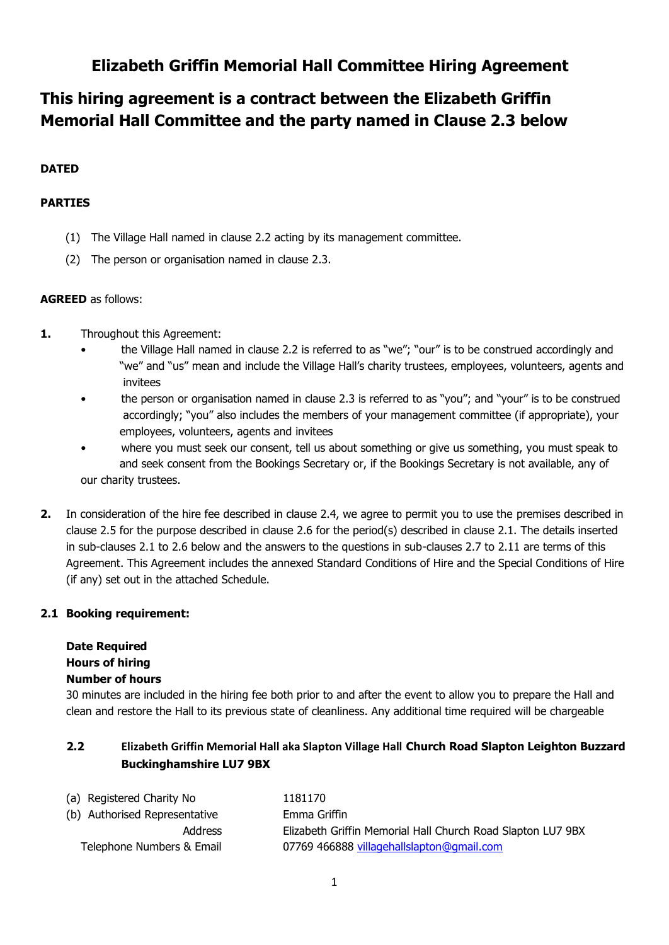## **Elizabeth Griffin Memorial Hall Committee Hiring Agreement**

# **This hiring agreement is a contract between the Elizabeth Griffin Memorial Hall Committee and the party named in Clause 2.3 below**

## **DATED**

## **PARTIES**

- (1) The Village Hall named in clause 2.2 acting by its management committee.
- (2) The person or organisation named in clause 2.3.

## **AGREED** as follows:

- **1.** Throughout this Agreement:
	- the Village Hall named in clause 2.2 is referred to as "we"; "our" is to be construed accordingly and "we" and "us" mean and include the Village Hall's charity trustees, employees, volunteers, agents and invitees
	- the person or organisation named in clause 2.3 is referred to as "you"; and "your" is to be construed accordingly; "you" also includes the members of your management committee (if appropriate), your employees, volunteers, agents and invitees
	- where you must seek our consent, tell us about something or give us something, you must speak to and seek consent from the Bookings Secretary or, if the Bookings Secretary is not available, any of our charity trustees.
- **2.** In consideration of the hire fee described in clause 2.4, we agree to permit you to use the premises described in clause 2.5 for the purpose described in clause 2.6 for the period(s) described in clause 2.1. The details inserted in sub-clauses 2.1 to 2.6 below and the answers to the questions in sub-clauses 2.7 to 2.11 are terms of this Agreement. This Agreement includes the annexed Standard Conditions of Hire and the Special Conditions of Hire (if any) set out in the attached Schedule.

## **2.1 Booking requirement:**

## **Date Required Hours of hiring**

## **Number of hours**

30 minutes are included in the hiring fee both prior to and after the event to allow you to prepare the Hall and clean and restore the Hall to its previous state of cleanliness. Any additional time required will be chargeable

## **2.2 Elizabeth Griffin Memorial Hall aka Slapton Village Hall Church Road Slapton Leighton Buzzard Buckinghamshire LU7 9BX**

| (a) Registered Charity No     | 1181170                                                     |
|-------------------------------|-------------------------------------------------------------|
| (b) Authorised Representative | Emma Griffin                                                |
| Address                       | Elizabeth Griffin Memorial Hall Church Road Slapton LU7 9BX |
| Telephone Numbers & Email     | 07769 466888 villagehallslapton@gmail.com                   |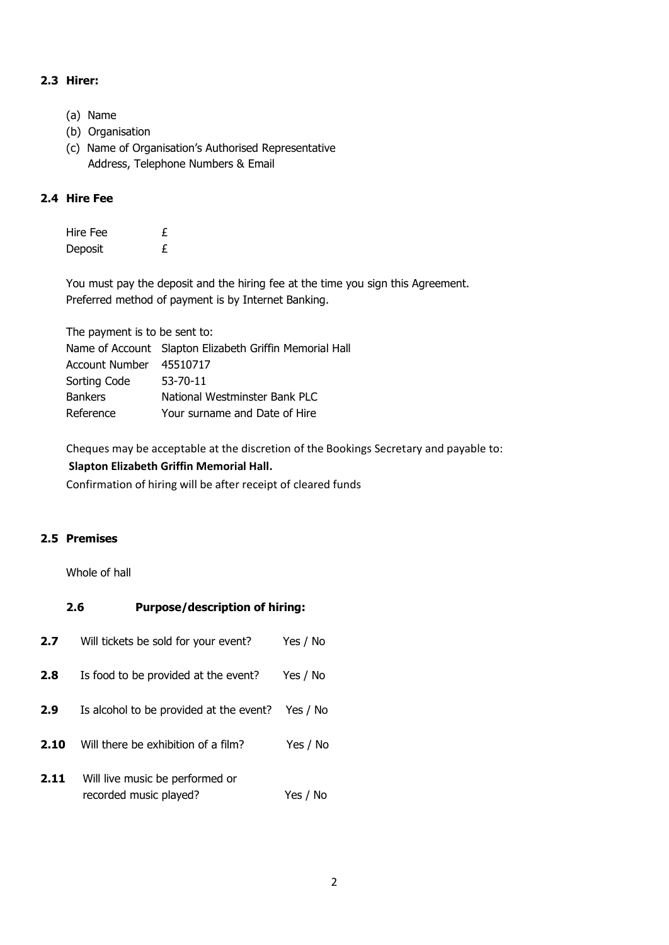## **2.3 Hirer:**

- (a) Name
- (b) Organisation
- (c) Name of Organisation's Authorised Representative Address, Telephone Numbers & Email

#### **2.4 Hire Fee**

| Hire Fee | £ |
|----------|---|
| Deposit  | £ |

You must pay the deposit and the hiring fee at the time you sign this Agreement. Preferred method of payment is by Internet Banking.

The payment is to be sent to:

|                         | Name of Account Slapton Elizabeth Griffin Memorial Hall |
|-------------------------|---------------------------------------------------------|
| Account Number 45510717 |                                                         |
| Sorting Code            | 53-70-11                                                |
| <b>Bankers</b>          | National Westminster Bank PLC                           |
| Reference               | Your surname and Date of Hire                           |
|                         |                                                         |

Cheques may be acceptable at the discretion of the Bookings Secretary and payable to: **Slapton Elizabeth Griffin Memorial Hall.**

Confirmation of hiring will be after receipt of cleared funds

## **2.5 Premises**

Whole of hall

| <b>Purpose/description of hiring:</b><br>2.6 |                                                           |          |
|----------------------------------------------|-----------------------------------------------------------|----------|
| 2.7                                          | Will tickets be sold for your event?                      | Yes / No |
| 2.8                                          | Is food to be provided at the event?                      | Yes / No |
| 2.9                                          | Is alcohol to be provided at the event?                   | Yes / No |
| 2.10                                         | Will there be exhibition of a film?                       | Yes / No |
| 2.11                                         | Will live music be performed or<br>recorded music played? | Yes / No |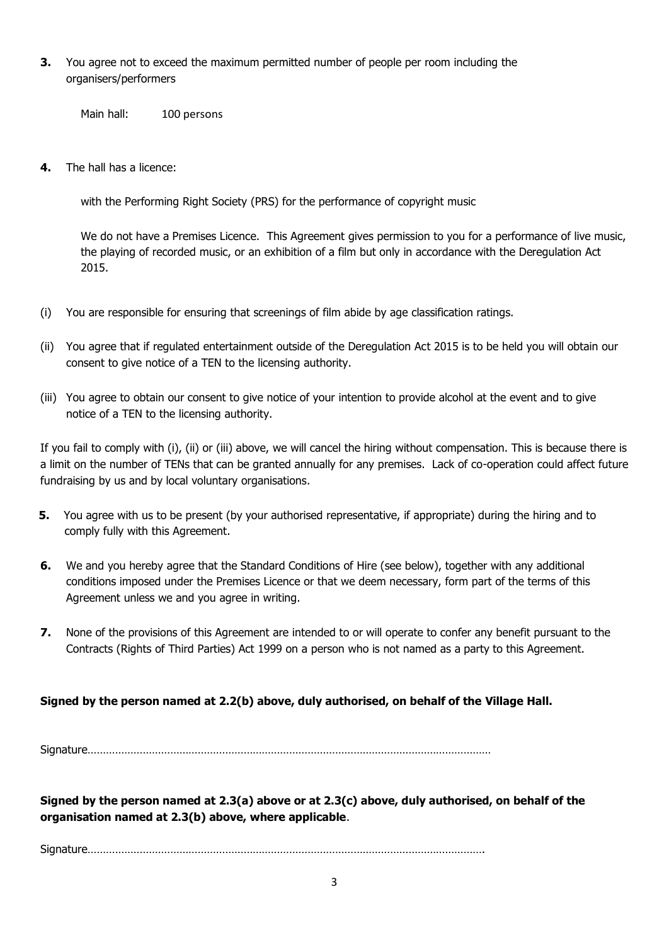**3.** You agree not to exceed the maximum permitted number of people per room including the organisers/performers

Main hall: 100 persons

**4.** The hall has a licence:

with the Performing Right Society (PRS) for the performance of copyright music

We do not have a Premises Licence. This Agreement gives permission to you for a performance of live music, the playing of recorded music, or an exhibition of a film but only in accordance with the Deregulation Act 2015.

- (i) You are responsible for ensuring that screenings of film abide by age classification ratings.
- (ii) You agree that if regulated entertainment outside of the Deregulation Act 2015 is to be held you will obtain our consent to give notice of a TEN to the licensing authority.
- (iii) You agree to obtain our consent to give notice of your intention to provide alcohol at the event and to give notice of a TEN to the licensing authority.

If you fail to comply with (i), (ii) or (iii) above, we will cancel the hiring without compensation. This is because there is a limit on the number of TENs that can be granted annually for any premises. Lack of co-operation could affect future fundraising by us and by local voluntary organisations.

- **5.** You agree with us to be present (by your authorised representative, if appropriate) during the hiring and to comply fully with this Agreement.
- **6.** We and you hereby agree that the Standard Conditions of Hire (see below), together with any additional conditions imposed under the Premises Licence or that we deem necessary, form part of the terms of this Agreement unless we and you agree in writing.
- **7.** None of the provisions of this Agreement are intended to or will operate to confer any benefit pursuant to the Contracts (Rights of Third Parties) Act 1999 on a person who is not named as a party to this Agreement.

#### **Signed by the person named at 2.2(b) above, duly authorised, on behalf of the Village Hall.**

Signature……………………………………………………………………………………………………………………

**Signed by the person named at 2.3(a) above or at 2.3(c) above, duly authorised, on behalf of the organisation named at 2.3(b) above, where applicable**.

Signature………………………………………………………………………………………………………………….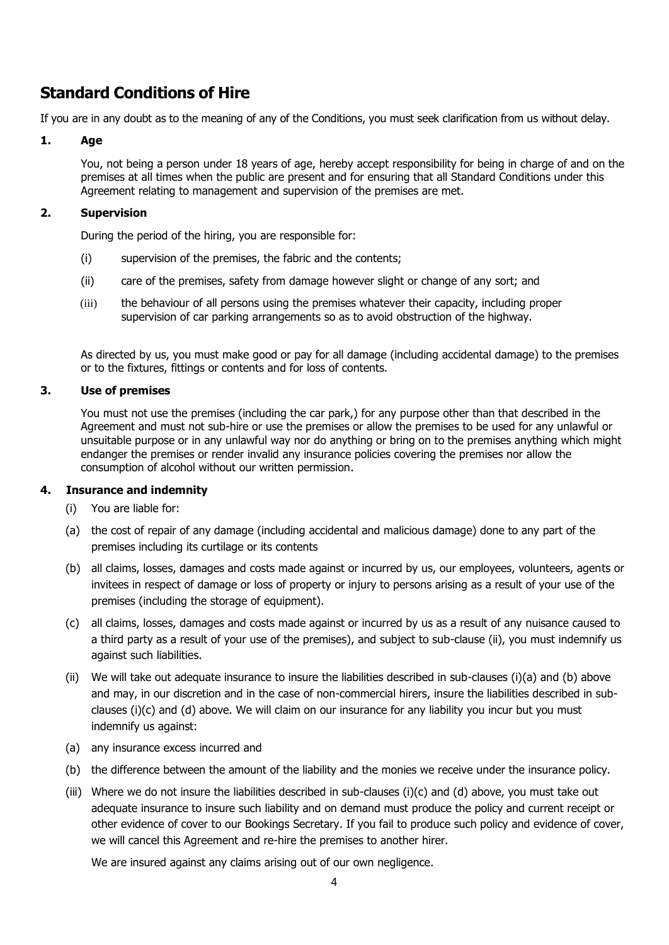## **Standard Conditions of Hire**

If you are in any doubt as to the meaning of any of the Conditions, you must seek clarification from us without delay.

#### **1. Age**

You, not being a person under 18 years of age, hereby accept responsibility for being in charge of and on the premises at all times when the public are present and for ensuring that all Standard Conditions under this Agreement relating to management and supervision of the premises are met.

#### **2. Supervision**

During the period of the hiring, you are responsible for:

- (i) supervision of the premises, the fabric and the contents;
- (ii) care of the premises, safety from damage however slight or change of any sort; and
- (iii) the behaviour of all persons using the premises whatever their capacity, including proper supervision of car parking arrangements so as to avoid obstruction of the highway.

As directed by us, you must make good or pay for all damage (including accidental damage) to the premises or to the fixtures, fittings or contents and for loss of contents.

#### **3. Use of premises**

You must not use the premises (including the car park,) for any purpose other than that described in the Agreement and must not sub-hire or use the premises or allow the premises to be used for any unlawful or unsuitable purpose or in any unlawful way nor do anything or bring on to the premises anything which might endanger the premises or render invalid any insurance policies covering the premises nor allow the consumption of alcohol without our written permission.

#### **4. Insurance and indemnity**

- (i) You are liable for:
- (a) the cost of repair of any damage (including accidental and malicious damage) done to any part of the premises including its curtilage or its contents
- (b) all claims, losses, damages and costs made against or incurred by us, our employees, volunteers, agents or invitees in respect of damage or loss of property or injury to persons arising as a result of your use of the premises (including the storage of equipment).
- (c) all claims, losses, damages and costs made against or incurred by us as a result of any nuisance caused to a third party as a result of your use of the premises), and subject to sub-clause (ii), you must indemnify us against such liabilities.
- (ii) We will take out adequate insurance to insure the liabilities described in sub-clauses (i)(a) and (b) above and may, in our discretion and in the case of non-commercial hirers, insure the liabilities described in subclauses (i)(c) and (d) above. We will claim on our insurance for any liability you incur but you must indemnify us against:
- (a) any insurance excess incurred and
- (b) the difference between the amount of the liability and the monies we receive under the insurance policy.
- (iii) Where we do not insure the liabilities described in sub-clauses (i)(c) and (d) above, you must take out adequate insurance to insure such liability and on demand must produce the policy and current receipt or other evidence of cover to our Bookings Secretary. If you fail to produce such policy and evidence of cover, we will cancel this Agreement and re-hire the premises to another hirer.

We are insured against any claims arising out of our own negligence.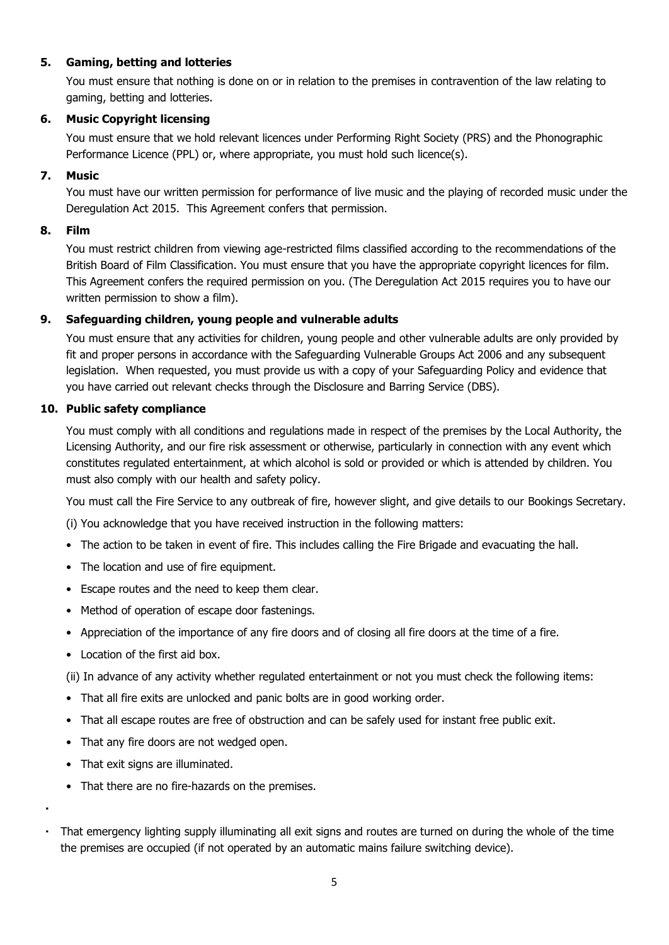#### **5. Gaming, betting and lotteries**

You must ensure that nothing is done on or in relation to the premises in contravention of the law relating to gaming, betting and lotteries.

#### **6. Music Copyright licensing**

You must ensure that we hold relevant licences under Performing Right Society (PRS) and the Phonographic Performance Licence (PPL) or, where appropriate, you must hold such licence(s).

#### **7. Music**

You must have our written permission for performance of live music and the playing of recorded music under the Deregulation Act 2015. This Agreement confers that permission.

#### **8. Film**

You must restrict children from viewing age-restricted films classified according to the recommendations of the British Board of Film Classification. You must ensure that you have the appropriate copyright licences for film. This Agreement confers the required permission on you. (The Deregulation Act 2015 requires you to have our written permission to show a film).

#### **9. Safeguarding children, young people and vulnerable adults**

You must ensure that any activities for children, young people and other vulnerable adults are only provided by fit and proper persons in accordance with the Safeguarding Vulnerable Groups Act 2006 and any subsequent legislation. When requested, you must provide us with a copy of your Safeguarding Policy and evidence that you have carried out relevant checks through the Disclosure and Barring Service (DBS).

#### **10. Public safety compliance**

You must comply with all conditions and regulations made in respect of the premises by the Local Authority, the Licensing Authority, and our fire risk assessment or otherwise, particularly in connection with any event which constitutes regulated entertainment, at which alcohol is sold or provided or which is attended by children. You must also comply with our health and safety policy.

You must call the Fire Service to any outbreak of fire, however slight, and give details to our Bookings Secretary.

(i) You acknowledge that you have received instruction in the following matters:

- The action to be taken in event of fire. This includes calling the Fire Brigade and evacuating the hall.
- The location and use of fire equipment.
- Escape routes and the need to keep them clear.
- Method of operation of escape door fastenings.
- Appreciation of the importance of any fire doors and of closing all fire doors at the time of a fire.
- Location of the first aid box.

(ii) In advance of any activity whether regulated entertainment or not you must check the following items:

- That all fire exits are unlocked and panic bolts are in good working order.
- That all escape routes are free of obstruction and can be safely used for instant free public exit.
- That any fire doors are not wedged open.
- That exit signs are illuminated.
- That there are no fire-hazards on the premises.
- That emergency lighting supply illuminating all exit signs and routes are turned on during the whole of the time the premises are occupied (if not operated by an automatic mains failure switching device).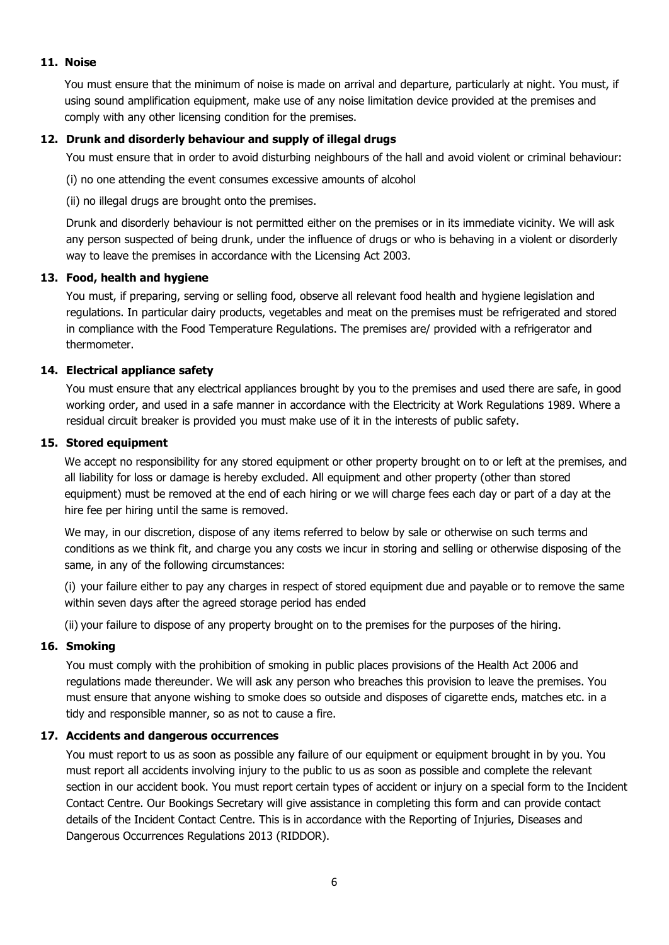#### **11. Noise**

You must ensure that the minimum of noise is made on arrival and departure, particularly at night. You must, if using sound amplification equipment, make use of any noise limitation device provided at the premises and comply with any other licensing condition for the premises.

#### **12. Drunk and disorderly behaviour and supply of illegal drugs**

You must ensure that in order to avoid disturbing neighbours of the hall and avoid violent or criminal behaviour:

(i) no one attending the event consumes excessive amounts of alcohol

(ii) no illegal drugs are brought onto the premises.

Drunk and disorderly behaviour is not permitted either on the premises or in its immediate vicinity. We will ask any person suspected of being drunk, under the influence of drugs or who is behaving in a violent or disorderly way to leave the premises in accordance with the Licensing Act 2003.

#### **13. Food, health and hygiene**

You must, if preparing, serving or selling food, observe all relevant food health and hygiene legislation and regulations. In particular dairy products, vegetables and meat on the premises must be refrigerated and stored in compliance with the Food Temperature Regulations. The premises are/ provided with a refrigerator and thermometer.

#### **14. Electrical appliance safety**

You must ensure that any electrical appliances brought by you to the premises and used there are safe, in good working order, and used in a safe manner in accordance with the Electricity at Work Regulations 1989. Where a residual circuit breaker is provided you must make use of it in the interests of public safety.

#### **15. Stored equipment**

We accept no responsibility for any stored equipment or other property brought on to or left at the premises, and all liability for loss or damage is hereby excluded. All equipment and other property (other than stored equipment) must be removed at the end of each hiring or we will charge fees each day or part of a day at the hire fee per hiring until the same is removed.

We may, in our discretion, dispose of any items referred to below by sale or otherwise on such terms and conditions as we think fit, and charge you any costs we incur in storing and selling or otherwise disposing of the same, in any of the following circumstances:

(i) your failure either to pay any charges in respect of stored equipment due and payable or to remove the same within seven days after the agreed storage period has ended

(ii) your failure to dispose of any property brought on to the premises for the purposes of the hiring.

#### **16. Smoking**

You must comply with the prohibition of smoking in public places provisions of the Health Act 2006 and regulations made thereunder. We will ask any person who breaches this provision to leave the premises. You must ensure that anyone wishing to smoke does so outside and disposes of cigarette ends, matches etc. in a tidy and responsible manner, so as not to cause a fire.

## **17. Accidents and dangerous occurrences**

You must report to us as soon as possible any failure of our equipment or equipment brought in by you. You must report all accidents involving injury to the public to us as soon as possible and complete the relevant section in our accident book. You must report certain types of accident or injury on a special form to the Incident Contact Centre. Our Bookings Secretary will give assistance in completing this form and can provide contact details of the Incident Contact Centre. This is in accordance with the Reporting of Injuries, Diseases and Dangerous Occurrences Regulations 2013 (RIDDOR).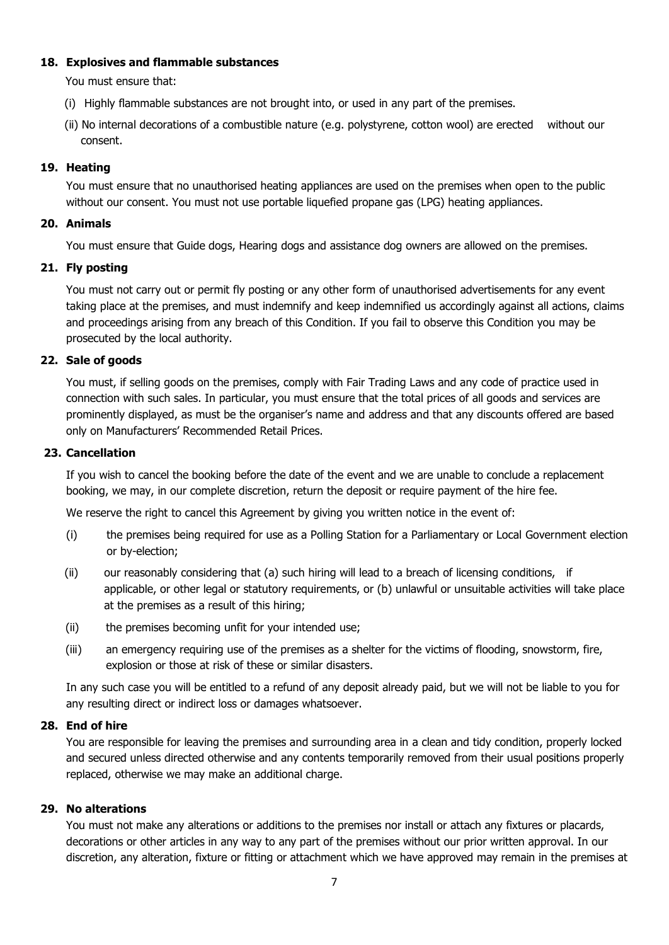#### **18. Explosives and flammable substances**

You must ensure that:

- (i) Highly flammable substances are not brought into, or used in any part of the premises.
- (ii) No internal decorations of a combustible nature (e.g. polystyrene, cotton wool) are erected without our consent.

#### **19. Heating**

You must ensure that no unauthorised heating appliances are used on the premises when open to the public without our consent. You must not use portable liquefied propane gas (LPG) heating appliances.

#### **20. Animals**

You must ensure that Guide dogs, Hearing dogs and assistance dog owners are allowed on the premises.

## **21. Fly posting**

You must not carry out or permit fly posting or any other form of unauthorised advertisements for any event taking place at the premises, and must indemnify and keep indemnified us accordingly against all actions, claims and proceedings arising from any breach of this Condition. If you fail to observe this Condition you may be prosecuted by the local authority.

#### **22. Sale of goods**

You must, if selling goods on the premises, comply with Fair Trading Laws and any code of practice used in connection with such sales. In particular, you must ensure that the total prices of all goods and services are prominently displayed, as must be the organiser's name and address and that any discounts offered are based only on Manufacturers' Recommended Retail Prices.

#### **23. Cancellation**

If you wish to cancel the booking before the date of the event and we are unable to conclude a replacement booking, we may, in our complete discretion, return the deposit or require payment of the hire fee.

We reserve the right to cancel this Agreement by giving you written notice in the event of:

- (i) the premises being required for use as a Polling Station for a Parliamentary or Local Government election or by-election;
- (ii) our reasonably considering that (a) such hiring will lead to a breach of licensing conditions, if applicable, or other legal or statutory requirements, or (b) unlawful or unsuitable activities will take place at the premises as a result of this hiring;
- (ii) the premises becoming unfit for your intended use;
- (iii) an emergency requiring use of the premises as a shelter for the victims of flooding, snowstorm, fire, explosion or those at risk of these or similar disasters.

In any such case you will be entitled to a refund of any deposit already paid, but we will not be liable to you for any resulting direct or indirect loss or damages whatsoever.

## **28. End of hire**

You are responsible for leaving the premises and surrounding area in a clean and tidy condition, properly locked and secured unless directed otherwise and any contents temporarily removed from their usual positions properly replaced, otherwise we may make an additional charge.

## **29. No alterations**

You must not make any alterations or additions to the premises nor install or attach any fixtures or placards, decorations or other articles in any way to any part of the premises without our prior written approval. In our discretion, any alteration, fixture or fitting or attachment which we have approved may remain in the premises at